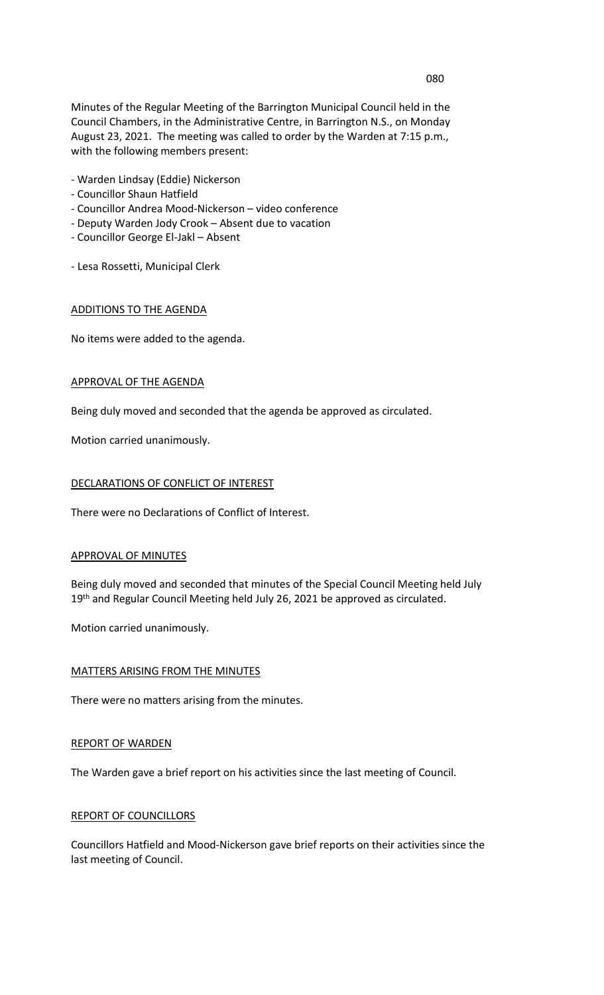Minutes of the Regular Meeting of the Barrington Municipal Council held in the Council Chambers, in the Administrative Centre, in Barrington N.S., on Monday August 23, 2021. The meeting was called to order by the Warden at 7:15 p.m., with the following members present:

- Warden Lindsay (Eddie) Nickerson
- Councillor Shaun Hatfield
- Councillor Andrea Mood-Nickerson video conference
- Deputy Warden Jody Crook Absent due to vacation
- Councillor George El-Jakl Absent
- Lesa Rossetti, Municipal Clerk

#### ADDITIONS TO THE AGENDA

No items were added to the agenda.

# APPROVAL OF THE AGENDA

Being duly moved and seconded that the agenda be approved as circulated.

Motion carried unanimously.

### DECLARATIONS OF CONFLICT OF INTEREST

There were no Declarations of Conflict of Interest.

#### APPROVAL OF MINUTES

Being duly moved and seconded that minutes of the Special Council Meeting held July 19<sup>th</sup> and Regular Council Meeting held July 26, 2021 be approved as circulated.

Motion carried unanimously.

# MATTERS ARISING FROM THE MINUTES

There were no matters arising from the minutes.

### REPORT OF WARDEN

The Warden gave a brief report on his activities since the last meeting of Council.

#### REPORT OF COUNCILLORS

Councillors Hatfield and Mood-Nickerson gave brief reports on their activities since the last meeting of Council.

### 080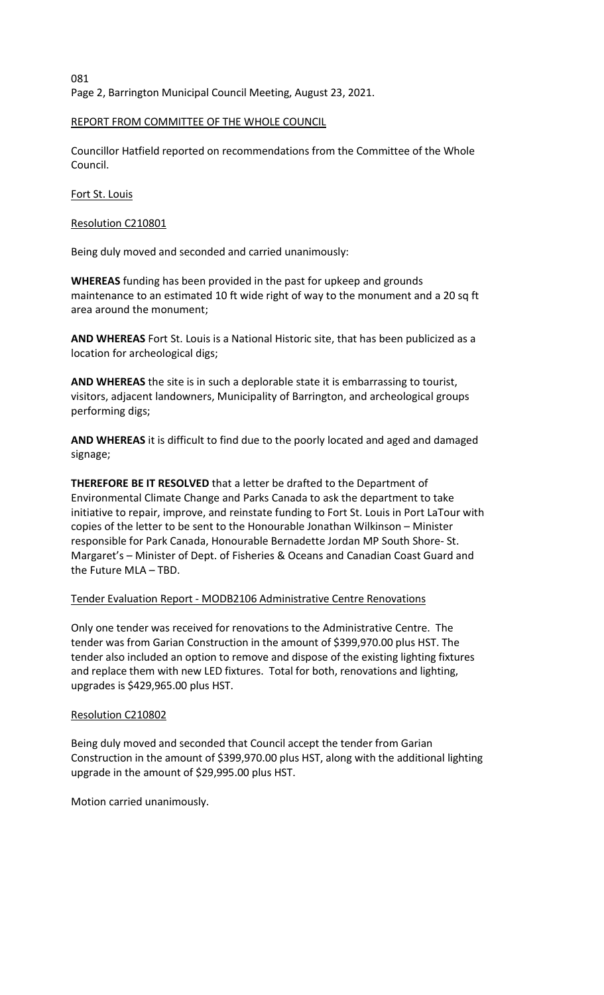081 Page 2, Barrington Municipal Council Meeting, August 23, 2021.

# REPORT FROM COMMITTEE OF THE WHOLE COUNCIL

Councillor Hatfield reported on recommendations from the Committee of the Whole Council.

Fort St. Louis

Resolution C210801

Being duly moved and seconded and carried unanimously:

**WHEREAS** funding has been provided in the past for upkeep and grounds maintenance to an estimated 10 ft wide right of way to the monument and a 20 sq ft area around the monument;

**AND WHEREAS** Fort St. Louis is a National Historic site, that has been publicized as a location for archeological digs;

**AND WHEREAS** the site is in such a deplorable state it is embarrassing to tourist, visitors, adjacent landowners, Municipality of Barrington, and archeological groups performing digs;

**AND WHEREAS** it is difficult to find due to the poorly located and aged and damaged signage;

**THEREFORE BE IT RESOLVED** that a letter be drafted to the Department of Environmental Climate Change and Parks Canada to ask the department to take initiative to repair, improve, and reinstate funding to Fort St. Louis in Port LaTour with copies of the letter to be sent to the Honourable Jonathan Wilkinson – Minister responsible for Park Canada, Honourable Bernadette Jordan MP South Shore- St. Margaret's – Minister of Dept. of Fisheries & Oceans and Canadian Coast Guard and the Future MLA – TBD.

# Tender Evaluation Report - MODB2106 Administrative Centre Renovations

Only one tender was received for renovations to the Administrative Centre. The tender was from Garian Construction in the amount of \$399,970.00 plus HST. The tender also included an option to remove and dispose of the existing lighting fixtures and replace them with new LED fixtures. Total for both, renovations and lighting, upgrades is \$429,965.00 plus HST.

# Resolution C210802

Being duly moved and seconded that Council accept the tender from Garian Construction in the amount of \$399,970.00 plus HST, along with the additional lighting upgrade in the amount of \$29,995.00 plus HST.

Motion carried unanimously.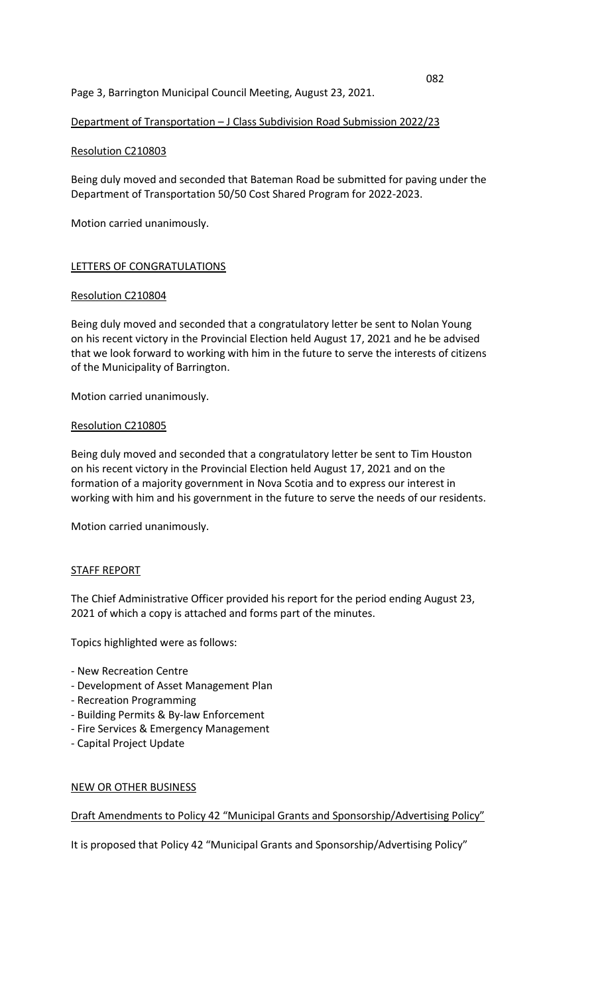## Page 3, Barrington Municipal Council Meeting, August 23, 2021.

### Department of Transportation – J Class Subdivision Road Submission 2022/23

### Resolution C210803

Being duly moved and seconded that Bateman Road be submitted for paving under the Department of Transportation 50/50 Cost Shared Program for 2022-2023.

Motion carried unanimously.

### LETTERS OF CONGRATULATIONS

### Resolution C210804

Being duly moved and seconded that a congratulatory letter be sent to Nolan Young on his recent victory in the Provincial Election held August 17, 2021 and he be advised that we look forward to working with him in the future to serve the interests of citizens of the Municipality of Barrington.

Motion carried unanimously.

### Resolution C210805

Being duly moved and seconded that a congratulatory letter be sent to Tim Houston on his recent victory in the Provincial Election held August 17, 2021 and on the formation of a majority government in Nova Scotia and to express our interest in working with him and his government in the future to serve the needs of our residents.

Motion carried unanimously.

#### STAFF REPORT

The Chief Administrative Officer provided his report for the period ending August 23, 2021 of which a copy is attached and forms part of the minutes.

Topics highlighted were as follows:

- New Recreation Centre
- Development of Asset Management Plan
- Recreation Programming
- Building Permits & By-law Enforcement
- Fire Services & Emergency Management
- Capital Project Update

#### NEW OR OTHER BUSINESS

## Draft Amendments to Policy 42 "Municipal Grants and Sponsorship/Advertising Policy"

It is proposed that Policy 42 "Municipal Grants and Sponsorship/Advertising Policy"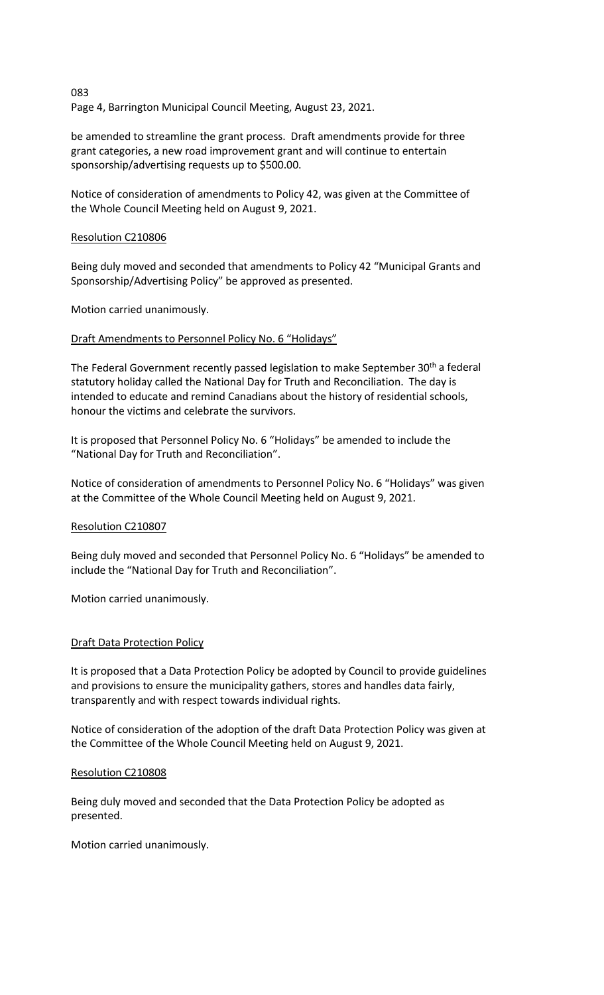Page 4, Barrington Municipal Council Meeting, August 23, 2021.

be amended to streamline the grant process. Draft amendments provide for three grant categories, a new road improvement grant and will continue to entertain sponsorship/advertising requests up to \$500.00.

Notice of consideration of amendments to Policy 42, was given at the Committee of the Whole Council Meeting held on August 9, 2021.

### Resolution C210806

083

Being duly moved and seconded that amendments to Policy 42 "Municipal Grants and Sponsorship/Advertising Policy" be approved as presented.

Motion carried unanimously.

### Draft Amendments to Personnel Policy No. 6 "Holidays"

The Federal Government recently passed legislation to make September 30<sup>th</sup> a federal statutory holiday called the National Day for Truth and Reconciliation. The day is intended to educate and remind Canadians about the history of residential schools, honour the victims and celebrate the survivors.

It is proposed that Personnel Policy No. 6 "Holidays" be amended to include the "National Day for Truth and Reconciliation".

Notice of consideration of amendments to Personnel Policy No. 6 "Holidays" was given at the Committee of the Whole Council Meeting held on August 9, 2021.

#### Resolution C210807

Being duly moved and seconded that Personnel Policy No. 6 "Holidays" be amended to include the "National Day for Truth and Reconciliation".

Motion carried unanimously.

## Draft Data Protection Policy

It is proposed that a Data Protection Policy be adopted by Council to provide guidelines and provisions to ensure the municipality gathers, stores and handles data fairly, transparently and with respect towards individual rights.

Notice of consideration of the adoption of the draft Data Protection Policy was given at the Committee of the Whole Council Meeting held on August 9, 2021.

#### Resolution C210808

Being duly moved and seconded that the Data Protection Policy be adopted as presented.

Motion carried unanimously.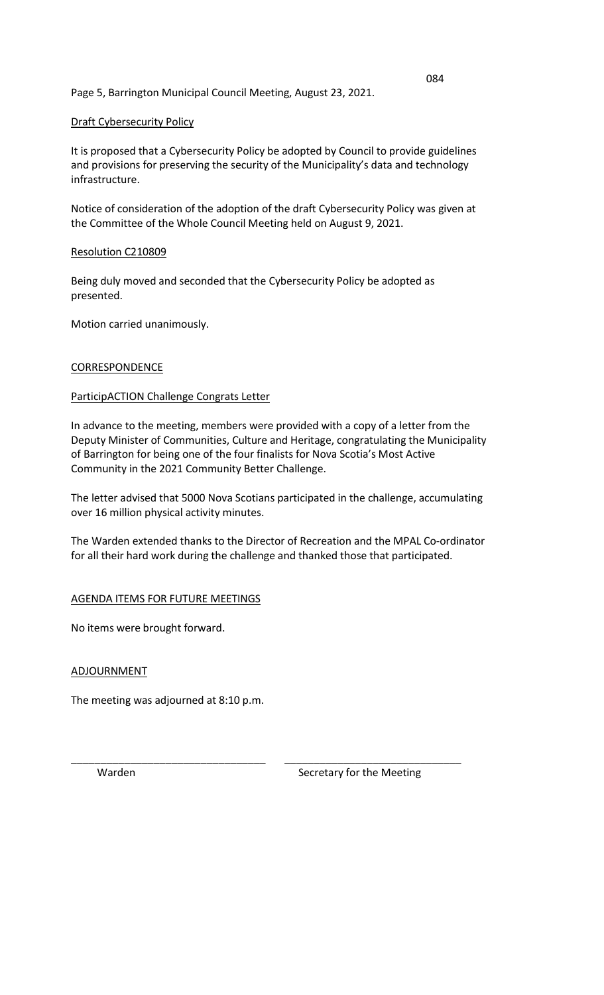# Page 5, Barrington Municipal Council Meeting, August 23, 2021.

# Draft Cybersecurity Policy

It is proposed that a Cybersecurity Policy be adopted by Council to provide guidelines and provisions for preserving the security of the Municipality's data and technology infrastructure.

Notice of consideration of the adoption of the draft Cybersecurity Policy was given at the Committee of the Whole Council Meeting held on August 9, 2021.

## Resolution C210809

Being duly moved and seconded that the Cybersecurity Policy be adopted as presented.

Motion carried unanimously.

# **CORRESPONDENCE**

# ParticipACTION Challenge Congrats Letter

In advance to the meeting, members were provided with a copy of a letter from the Deputy Minister of Communities, Culture and Heritage, congratulating the Municipality of Barrington for being one of the four finalists for Nova Scotia's Most Active Community in the 2021 Community Better Challenge.

The letter advised that 5000 Nova Scotians participated in the challenge, accumulating over 16 million physical activity minutes.

The Warden extended thanks to the Director of Recreation and the MPAL Co-ordinator for all their hard work during the challenge and thanked those that participated.

# AGENDA ITEMS FOR FUTURE MEETINGS

No items were brought forward.

## ADJOURNMENT

The meeting was adjourned at 8:10 p.m.

\_\_\_\_\_\_\_\_\_\_\_\_\_\_\_\_\_\_\_\_\_\_\_\_\_\_\_\_\_\_\_\_\_ \_\_\_\_\_\_\_\_\_\_\_\_\_\_\_\_\_\_\_\_\_\_\_\_\_\_\_\_\_\_ Warden Secretary for the Meeting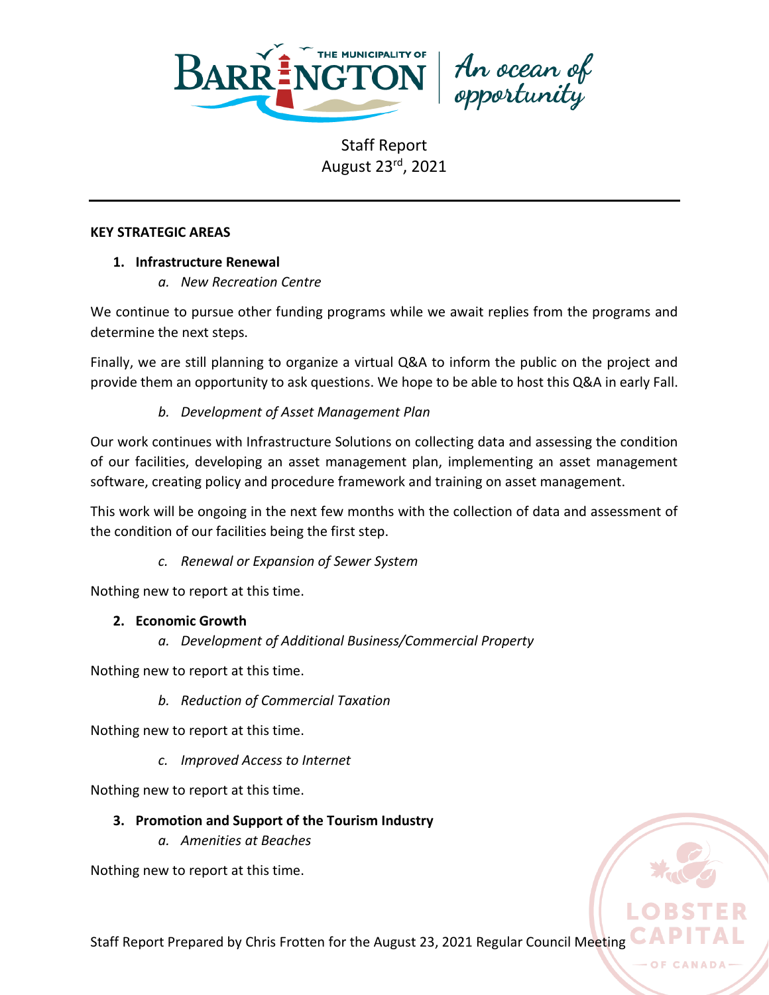

An ocean of<br>opportunity

### **KEY STRATEGIC AREAS**

# **1. Infrastructure Renewal**

*a. New Recreation Centre*

We continue to pursue other funding programs while we await replies from the programs and determine the next steps.

Finally, we are still planning to organize a virtual Q&A to inform the public on the project and provide them an opportunity to ask questions. We hope to be able to host this Q&A in early Fall.

# *b. Development of Asset Management Plan*

Our work continues with Infrastructure Solutions on collecting data and assessing the condition of our facilities, developing an asset management plan, implementing an asset management software, creating policy and procedure framework and training on asset management.

This work will be ongoing in the next few months with the collection of data and assessment of the condition of our facilities being the first step.

# *c. Renewal or Expansion of Sewer System*

Nothing new to report at this time.

# **2. Economic Growth**

*a. Development of Additional Business/Commercial Property*

Nothing new to report at this time.

*b. Reduction of Commercial Taxation*

Nothing new to report at this time.

*c. Improved Access to Internet*

Nothing new to report at this time.

# **3. Promotion and Support of the Tourism Industry**

*a. Amenities at Beaches*

Nothing new to report at this time.



OF CAN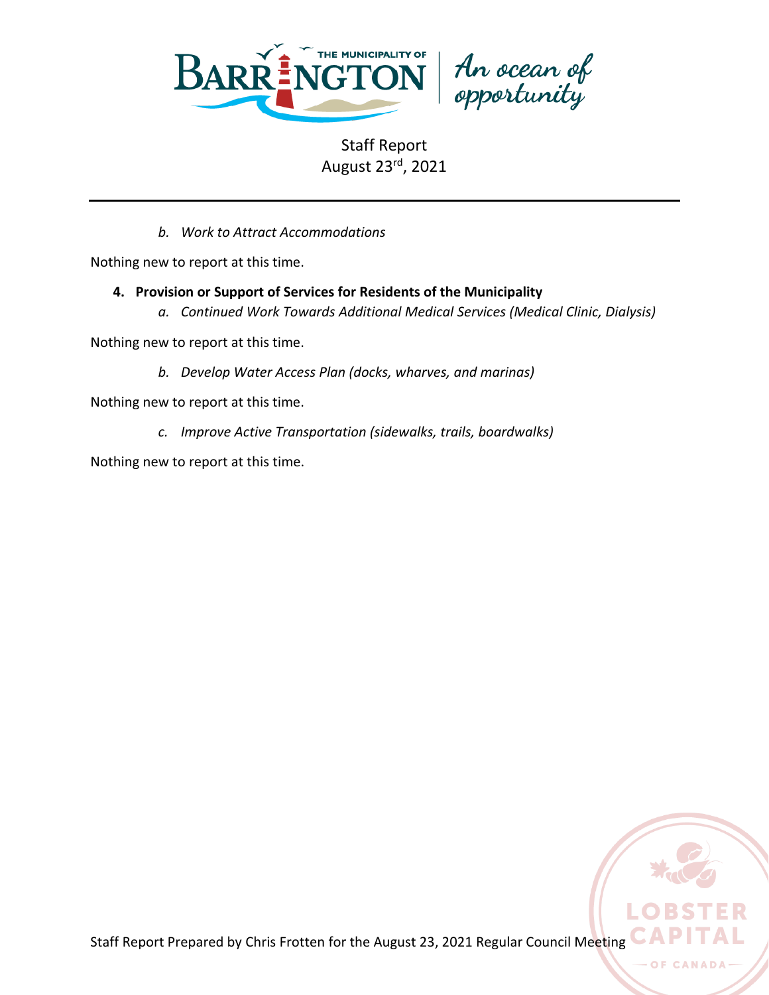

*b. Work to Attract Accommodations*

Nothing new to report at this time.

- **4. Provision or Support of Services for Residents of the Municipality**
	- *a. Continued Work Towards Additional Medical Services (Medical Clinic, Dialysis)*

Nothing new to report at this time.

*b. Develop Water Access Plan (docks, wharves, and marinas)*

Nothing new to report at this time.

*c. Improve Active Transportation (sidewalks, trails, boardwalks)*

Nothing new to report at this time.

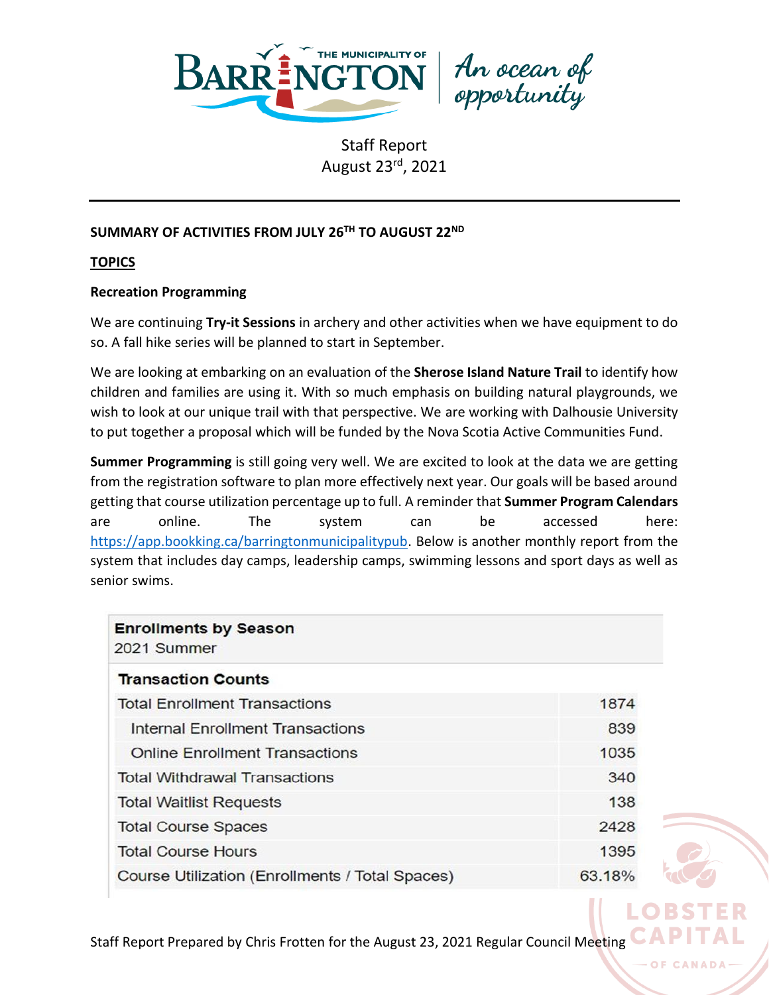

An ocean of<br>opportunity

# **SUMMARY OF ACTIVITIES FROM JULY 26TH TO AUGUST 22ND**

**TOPICS**

### **Recreation Programming**

We are continuing **Try-it Sessions** in archery and other activities when we have equipment to do so. A fall hike series will be planned to start in September.

We are looking at embarking on an evaluation of the **Sherose Island Nature Trail** to identify how children and families are using it. With so much emphasis on building natural playgrounds, we wish to look at our unique trail with that perspective. We are working with Dalhousie University to put together a proposal which will be funded by the Nova Scotia Active Communities Fund.

**Summer Programming** is still going very well. We are excited to look at the data we are getting from the registration software to plan more effectively next year. Our goals will be based around getting that course utilization percentage up to full. A reminder that **Summer Program Calendars** are online. The system can be accessed here: [https://app.bookking.ca/barringtonmunicipalitypub.](https://app.bookking.ca/barringtonmunicipalitypub) Below is another monthly report from the system that includes day camps, leadership camps, swimming lessons and sport days as well as senior swims.

| <b>Enrollments by Season</b><br>2021 Summer     |        |
|-------------------------------------------------|--------|
| <b>Transaction Counts</b>                       |        |
| <b>Total Enrollment Transactions</b>            | 1874   |
| Internal Enrollment Transactions                | 839    |
| <b>Online Enrollment Transactions</b>           | 1035   |
| <b>Total Withdrawal Transactions</b>            | 340    |
| <b>Total Waitlist Requests</b>                  | 138    |
| <b>Total Course Spaces</b>                      | 2428   |
| <b>Total Course Hours</b>                       | 1395   |
| Course Utilization (Enrollments / Total Spaces) | 63.18% |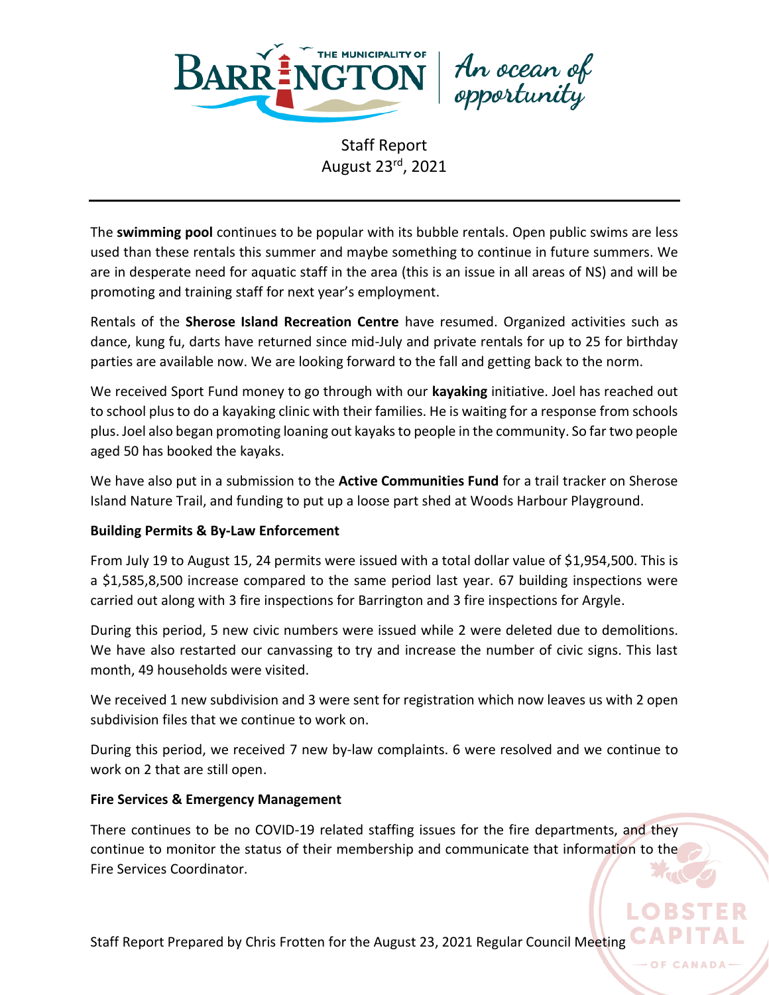

An ocean of<br>opportunity

The **swimming pool** continues to be popular with its bubble rentals. Open public swims are less used than these rentals this summer and maybe something to continue in future summers. We are in desperate need for aquatic staff in the area (this is an issue in all areas of NS) and will be promoting and training staff for next year's employment.

Rentals of the **Sherose Island Recreation Centre** have resumed. Organized activities such as dance, kung fu, darts have returned since mid-July and private rentals for up to 25 for birthday parties are available now. We are looking forward to the fall and getting back to the norm.

We received Sport Fund money to go through with our **kayaking** initiative. Joel has reached out to school plus to do a kayaking clinic with their families. He is waiting for a response from schools plus. Joel also began promoting loaning out kayaks to people in the community. So far two people aged 50 has booked the kayaks.

We have also put in a submission to the **Active Communities Fund** for a trail tracker on Sherose Island Nature Trail, and funding to put up a loose part shed at Woods Harbour Playground.

# **Building Permits & By-Law Enforcement**

From July 19 to August 15, 24 permits were issued with a total dollar value of \$1,954,500. This is a \$1,585,8,500 increase compared to the same period last year. 67 building inspections were carried out along with 3 fire inspections for Barrington and 3 fire inspections for Argyle.

During this period, 5 new civic numbers were issued while 2 were deleted due to demolitions. We have also restarted our canvassing to try and increase the number of civic signs. This last month, 49 households were visited.

We received 1 new subdivision and 3 were sent for registration which now leaves us with 2 open subdivision files that we continue to work on.

During this period, we received 7 new by-law complaints. 6 were resolved and we continue to work on 2 that are still open.

# **Fire Services & Emergency Management**

There continues to be no COVID-19 related staffing issues for the fire departments, and they continue to monitor the status of their membership and communicate that information to the Fire Services Coordinator.

Staff Report Prepared by Chris Frotten for the August 23, 2021 Regular Council Meeting

OF CAN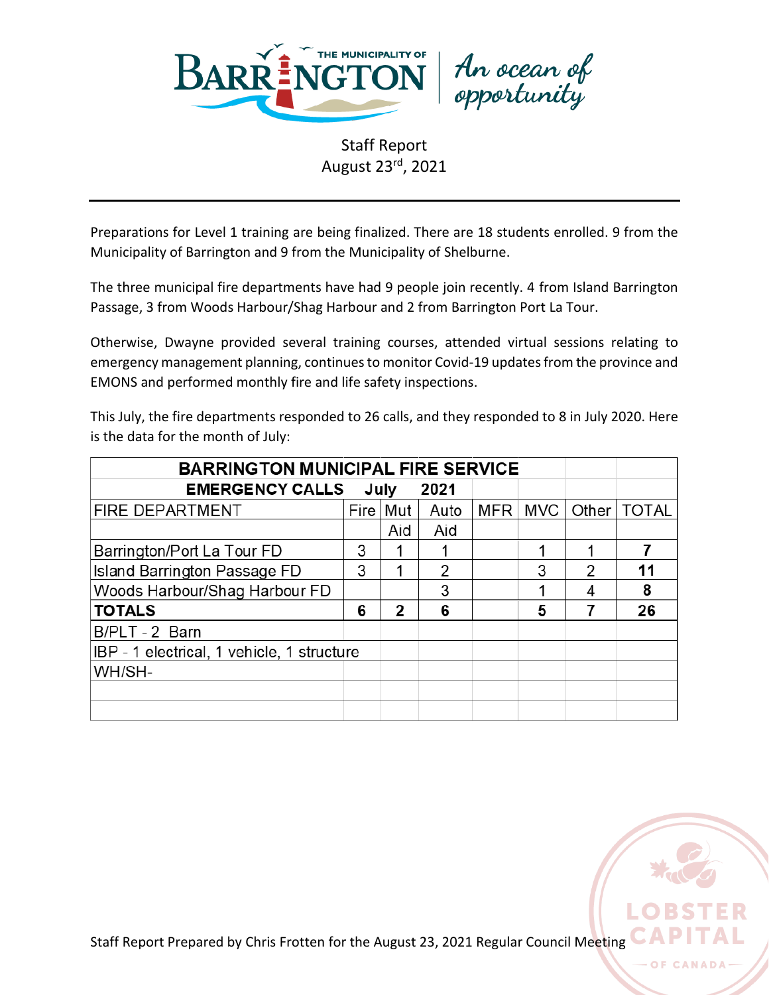

An ocean of<br>opportunity

Preparations for Level 1 training are being finalized. There are 18 students enrolled. 9 from the Municipality of Barrington and 9 from the Municipality of Shelburne.

The three municipal fire departments have had 9 people join recently. 4 from Island Barrington Passage, 3 from Woods Harbour/Shag Harbour and 2 from Barrington Port La Tour.

Otherwise, Dwayne provided several training courses, attended virtual sessions relating to emergency management planning, continues to monitor Covid-19 updates from the province and EMONS and performed monthly fire and life safety inspections.

This July, the fire departments responded to 26 calls, and they responded to 8 in July 2020. Here is the data for the month of July:

| <b>BARRINGTON MUNICIPAL FIRE SERVICE</b>   |   |            |      |                  |     |   |               |
|--------------------------------------------|---|------------|------|------------------|-----|---|---------------|
| <b>EMERGENCY CALLS</b>                     |   | July       | 2021 |                  |     |   |               |
| <b>FIRE DEPARTMENT</b>                     |   | Fire   Mut | Auto | MFR <sup>1</sup> | MVC |   | Other   TOTAL |
|                                            |   | Aid        | Aid  |                  |     |   |               |
| Barrington/Port La Tour FD                 | 3 |            |      |                  |     |   |               |
| <b>Island Barrington Passage FD</b>        | 3 |            | 2    |                  | 3   | 2 | 11            |
| Woods Harbour/Shag Harbour FD              |   |            | 3    |                  |     |   | 8             |
| <b>TOTALS</b>                              | 6 | 2          | 6    |                  | 5   |   | 26            |
| B/PLT-2 Barn                               |   |            |      |                  |     |   |               |
| IBP - 1 electrical, 1 vehicle, 1 structure |   |            |      |                  |     |   |               |
| WH/SH-                                     |   |            |      |                  |     |   |               |
|                                            |   |            |      |                  |     |   |               |
|                                            |   |            |      |                  |     |   |               |